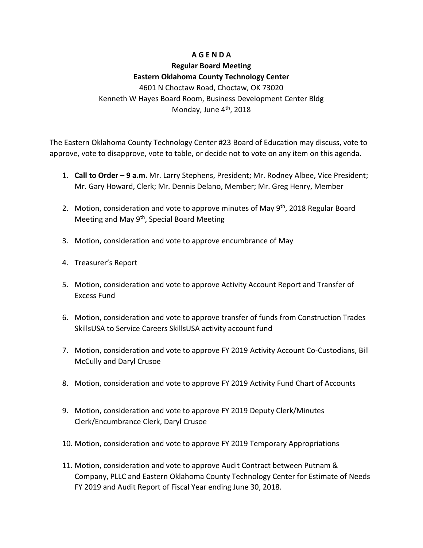### **A G E N D A**

# **Regular Board Meeting Eastern Oklahoma County Technology Center**

4601 N Choctaw Road, Choctaw, OK 73020 Kenneth W Hayes Board Room, Business Development Center Bldg Monday, June 4<sup>th</sup>, 2018

The Eastern Oklahoma County Technology Center #23 Board of Education may discuss, vote to approve, vote to disapprove, vote to table, or decide not to vote on any item on this agenda.

- 1. **Call to Order – 9 a.m.** Mr. Larry Stephens, President; Mr. Rodney Albee, Vice President; Mr. Gary Howard, Clerk; Mr. Dennis Delano, Member; Mr. Greg Henry, Member
- 2. Motion, consideration and vote to approve minutes of May  $9<sup>th</sup>$ , 2018 Regular Board Meeting and May 9<sup>th</sup>, Special Board Meeting
- 3. Motion, consideration and vote to approve encumbrance of May
- 4. Treasurer's Report
- 5. Motion, consideration and vote to approve Activity Account Report and Transfer of Excess Fund
- 6. Motion, consideration and vote to approve transfer of funds from Construction Trades SkillsUSA to Service Careers SkillsUSA activity account fund
- 7. Motion, consideration and vote to approve FY 2019 Activity Account Co-Custodians, Bill McCully and Daryl Crusoe
- 8. Motion, consideration and vote to approve FY 2019 Activity Fund Chart of Accounts
- 9. Motion, consideration and vote to approve FY 2019 Deputy Clerk/Minutes Clerk/Encumbrance Clerk, Daryl Crusoe
- 10. Motion, consideration and vote to approve FY 2019 Temporary Appropriations
- 11. Motion, consideration and vote to approve Audit Contract between Putnam & Company, PLLC and Eastern Oklahoma County Technology Center for Estimate of Needs FY 2019 and Audit Report of Fiscal Year ending June 30, 2018.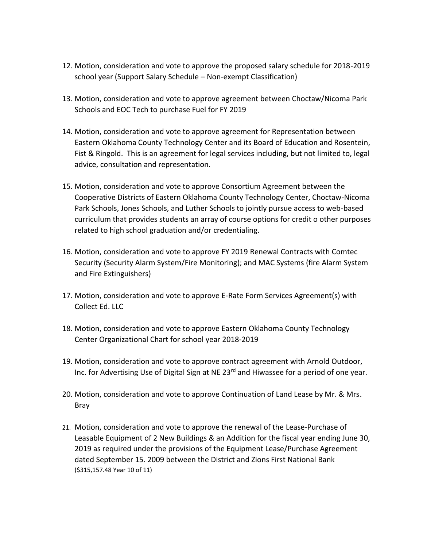- 12. Motion, consideration and vote to approve the proposed salary schedule for 2018-2019 school year (Support Salary Schedule – Non-exempt Classification)
- 13. Motion, consideration and vote to approve agreement between Choctaw/Nicoma Park Schools and EOC Tech to purchase Fuel for FY 2019
- 14. Motion, consideration and vote to approve agreement for Representation between Eastern Oklahoma County Technology Center and its Board of Education and Rosentein, Fist & Ringold. This is an agreement for legal services including, but not limited to, legal advice, consultation and representation.
- 15. Motion, consideration and vote to approve Consortium Agreement between the Cooperative Districts of Eastern Oklahoma County Technology Center, Choctaw-Nicoma Park Schools, Jones Schools, and Luther Schools to jointly pursue access to web-based curriculum that provides students an array of course options for credit o other purposes related to high school graduation and/or credentialing.
- 16. Motion, consideration and vote to approve FY 2019 Renewal Contracts with Comtec Security (Security Alarm System/Fire Monitoring); and MAC Systems (fire Alarm System and Fire Extinguishers)
- 17. Motion, consideration and vote to approve E-Rate Form Services Agreement(s) with Collect Ed. LLC
- 18. Motion, consideration and vote to approve Eastern Oklahoma County Technology Center Organizational Chart for school year 2018-2019
- 19. Motion, consideration and vote to approve contract agreement with Arnold Outdoor, Inc. for Advertising Use of Digital Sign at NE 23<sup>rd</sup> and Hiwassee for a period of one year.
- 20. Motion, consideration and vote to approve Continuation of Land Lease by Mr. & Mrs. Bray
- 21. Motion, consideration and vote to approve the renewal of the Lease-Purchase of Leasable Equipment of 2 New Buildings & an Addition for the fiscal year ending June 30, 2019 as required under the provisions of the Equipment Lease/Purchase Agreement dated September 15. 2009 between the District and Zions First National Bank (\$315,157.48 Year 10 of 11)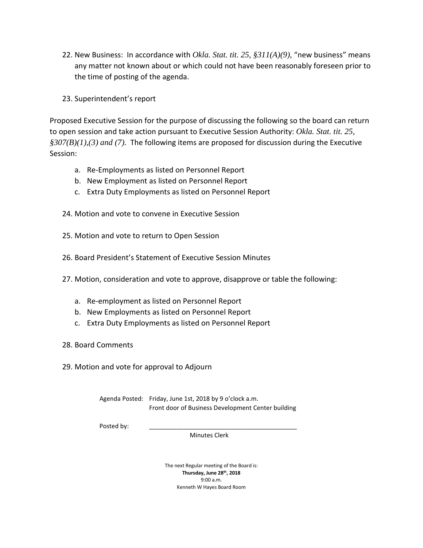- 22. New Business: In accordance with *Okla. Stat. tit. 25, §311(A)(9)*, "new business" means any matter not known about or which could not have been reasonably foreseen prior to the time of posting of the agenda.
- 23. Superintendent's report

Proposed Executive Session for the purpose of discussing the following so the board can return to open session and take action pursuant to Executive Session Authority: *Okla. Stat. tit. 25, §307(B)(1),(3) and (7).* The following items are proposed for discussion during the Executive Session:

- a. Re-Employments as listed on Personnel Report
- b. New Employment as listed on Personnel Report
- c. Extra Duty Employments as listed on Personnel Report
- 24. Motion and vote to convene in Executive Session
- 25. Motion and vote to return to Open Session
- 26. Board President's Statement of Executive Session Minutes
- 27. Motion, consideration and vote to approve, disapprove or table the following:
	- a. Re-employment as listed on Personnel Report
	- b. New Employments as listed on Personnel Report
	- c. Extra Duty Employments as listed on Personnel Report
- 28. Board Comments
- 29. Motion and vote for approval to Adjourn

Agenda Posted: Friday, June 1st, 2018 by 9 o'clock a.m. Front door of Business Development Center building

Posted by:

Minutes Clerk

The next Regular meeting of the Board is: **Thursday, June 28th, 2018** 9:00 a.m. Kenneth W Hayes Board Room